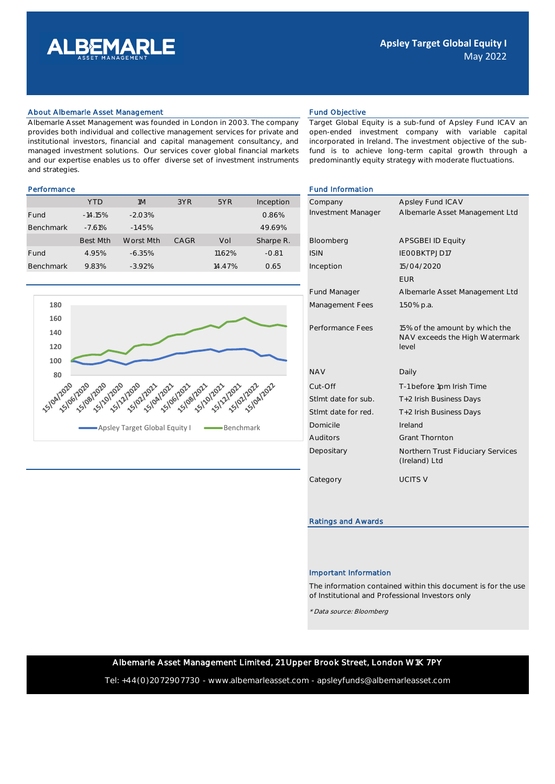

#### About Albemarle Asset Management **Fund Objective** Fund Objective

Albemarle Asset Management was founded in London in 2003. The company provides both individual and collective management services for private and institutional investors, financial and capital management consultancy, and managed investment solutions. Our services cover global financial markets and our expertise enables us to offer diverse set of investment instruments and strategies.

Target Global Equity is a sub-fund of Apsley Fund ICAV an open-ended investment company with variable capital incorporated in Ireland. The investment objective of the subfund is to achieve long-term capital growth through a predominantly equity strategy with moderate fluctuations.

#### Performance Fund Information Information Information Information Information Information Information Information

|                  | <b>YTD</b>      | 1M        | 3YR  | 5YR    | Inception | Company            | Apsley Fund ICAV         |
|------------------|-----------------|-----------|------|--------|-----------|--------------------|--------------------------|
| Fund             | $-14.15%$       | $-2.03%$  |      |        | 0.86%     | Investment Manager | Albemarle Asset M        |
| <b>Benchmark</b> | $-7.61%$        | $-1.45%$  |      |        | 49.69%    |                    |                          |
|                  | <b>Best Mth</b> | Worst Mth | CAGR | Vol    | Sharpe R. | Bloomberg          | <b>APSGBEI ID Equity</b> |
| Fund             | 4.95%           | $-6.35%$  |      | 11.62% | $-0.81$   | <b>ISIN</b>        | IEOOBKTPJD17             |
| Benchmark        | 9.83%           | $-3.92%$  |      | 14.47% | 0.65      | Inception          | 15/04/2020               |



| <b>Fund Information</b> |                                                                  |
|-------------------------|------------------------------------------------------------------|
| Company                 | Apsley Fund ICAV                                                 |
| Investment Manager      | Albemarle Asset Management Ltd                                   |
|                         |                                                                  |
| Bloomberg               | <b>APSGBEI ID Equity</b>                                         |
| <b>ISIN</b>             | IEOOBKTPJD17                                                     |
| Inception               | 15/04/2020                                                       |
|                         | <b>EUR</b>                                                       |
| <b>Fund Manager</b>     | Albemarle Asset Management Ltd                                   |
| Management Fees         | 1.50% p.a.                                                       |
|                         |                                                                  |
| Performance Fees        | 15% of the amount by which the<br>NAV exceeds the High Watermark |
|                         | level                                                            |
| <b>NAV</b>              | Daily                                                            |
| Cut-Off                 | T-1 before 1pm Irish Time                                        |
| Stlmt date for sub.     | T+2 Irish Business Days                                          |
| Stlmt date for red.     | T+2 Irish Business Days                                          |
| Domicile                | Ireland                                                          |
| <b>Auditors</b>         | <b>Grant Thornton</b>                                            |
| Depositary              | Northern Trust Fiduciary Services<br>(Ireland) Ltd               |
| Category                | <b>UCITS V</b>                                                   |
|                         |                                                                  |

## Ratings and Awards

## Important Information

The information contained within this document is for the use of Institutional and Professional Investors only

\* Data source: Bloomberg

# Albemarle Asset Management Limited, 21 Upper Brook Street, London W1K 7PY

Tel: +44(0)2072907730 - www.albemarleasset.com - apsleyfunds@albemarleasset.com